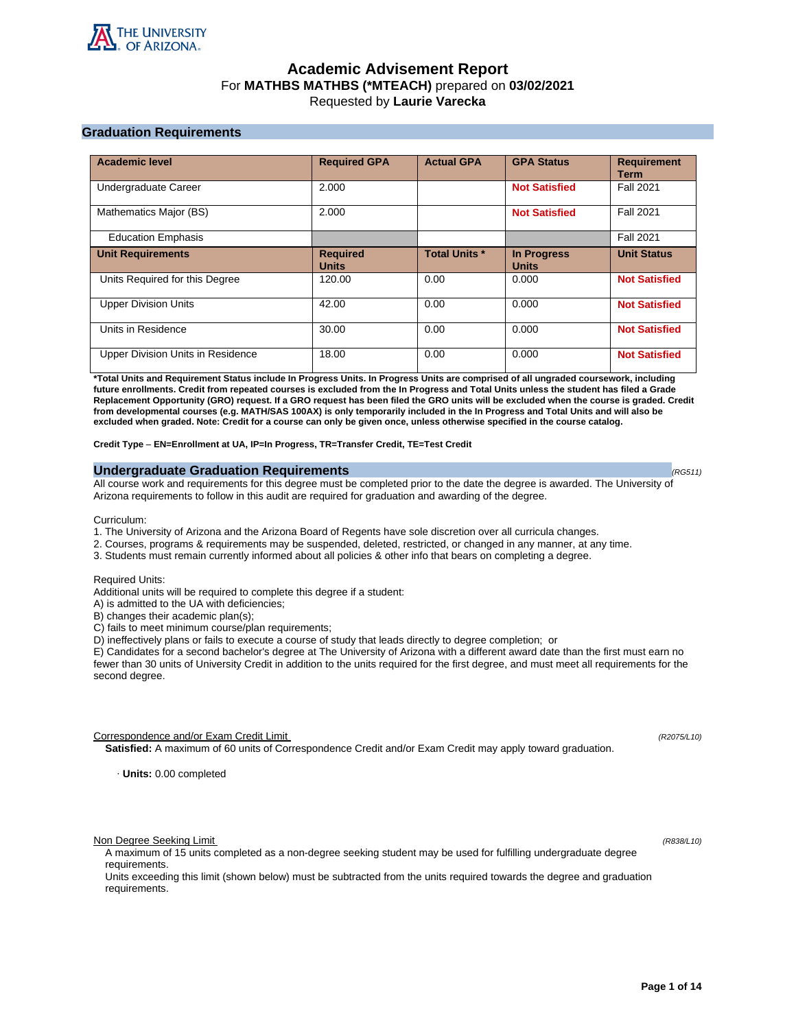

# **Academic Advisement Report** For **MATHBS MATHBS (\*MTEACH)** prepared on **03/02/2021** Requested by **Laurie Varecka**

# **Graduation Requirements**

| <b>Academic level</b>             | <b>Required GPA</b>             | <b>Actual GPA</b>    | <b>GPA Status</b>                  | <b>Requirement</b><br><b>Term</b> |
|-----------------------------------|---------------------------------|----------------------|------------------------------------|-----------------------------------|
| Undergraduate Career              | 2.000                           |                      | <b>Not Satisfied</b>               | <b>Fall 2021</b>                  |
| Mathematics Major (BS)            | 2.000                           |                      | <b>Not Satisfied</b>               | <b>Fall 2021</b>                  |
| <b>Education Emphasis</b>         |                                 |                      |                                    | <b>Fall 2021</b>                  |
| <b>Unit Requirements</b>          | <b>Required</b><br><b>Units</b> | <b>Total Units *</b> | <b>In Progress</b><br><b>Units</b> | <b>Unit Status</b>                |
| Units Required for this Degree    | 120.00                          | 0.00                 | 0.000                              | <b>Not Satisfied</b>              |
| <b>Upper Division Units</b>       | 42.00                           | 0.00                 | 0.000                              | <b>Not Satisfied</b>              |
| Units in Residence                | 30.00                           | 0.00                 | 0.000                              | <b>Not Satisfied</b>              |
| Upper Division Units in Residence | 18.00                           | 0.00                 | 0.000                              | <b>Not Satisfied</b>              |

**\*Total Units and Requirement Status include In Progress Units. In Progress Units are comprised of all ungraded coursework, including future enrollments. Credit from repeated courses is excluded from the In Progress and Total Units unless the student has filed a Grade Replacement Opportunity (GRO) request. If a GRO request has been filed the GRO units will be excluded when the course is graded. Credit from developmental courses (e.g. MATH/SAS 100AX) is only temporarily included in the In Progress and Total Units and will also be excluded when graded. Note: Credit for a course can only be given once, unless otherwise specified in the course catalog.**

**Credit Type** – **EN=Enrollment at UA, IP=In Progress, TR=Transfer Credit, TE=Test Credit**

# **Undergraduate Graduation Requirements (RG511) (RG511) (RG511) (RG511)**

All course work and requirements for this degree must be completed prior to the date the degree is awarded. The University of Arizona requirements to follow in this audit are required for graduation and awarding of the degree.

Curriculum:

- 1. The University of Arizona and the Arizona Board of Regents have sole discretion over all curricula changes.
- 2. Courses, programs & requirements may be suspended, deleted, restricted, or changed in any manner, at any time.
- 3. Students must remain currently informed about all policies & other info that bears on completing a degree.

Required Units:

Additional units will be required to complete this degree if a student:

A) is admitted to the UA with deficiencies;

B) changes their academic plan(s);

C) fails to meet minimum course/plan requirements;

D) ineffectively plans or fails to execute a course of study that leads directly to degree completion; or

E) Candidates for a second bachelor's degree at The University of Arizona with a different award date than the first must earn no fewer than 30 units of University Credit in addition to the units required for the first degree, and must meet all requirements for the second degree.

Correspondence and/or Exam Credit Limit (R2075/L10) (R2075/L10)

**Satisfied:** A maximum of 60 units of Correspondence Credit and/or Exam Credit may apply toward graduation.

· **Units:** 0.00 completed

Non Degree Seeking Limit (R838/L10)

A maximum of 15 units completed as a non-degree seeking student may be used for fulfilling undergraduate degree requirements.

Units exceeding this limit (shown below) must be subtracted from the units required towards the degree and graduation requirements.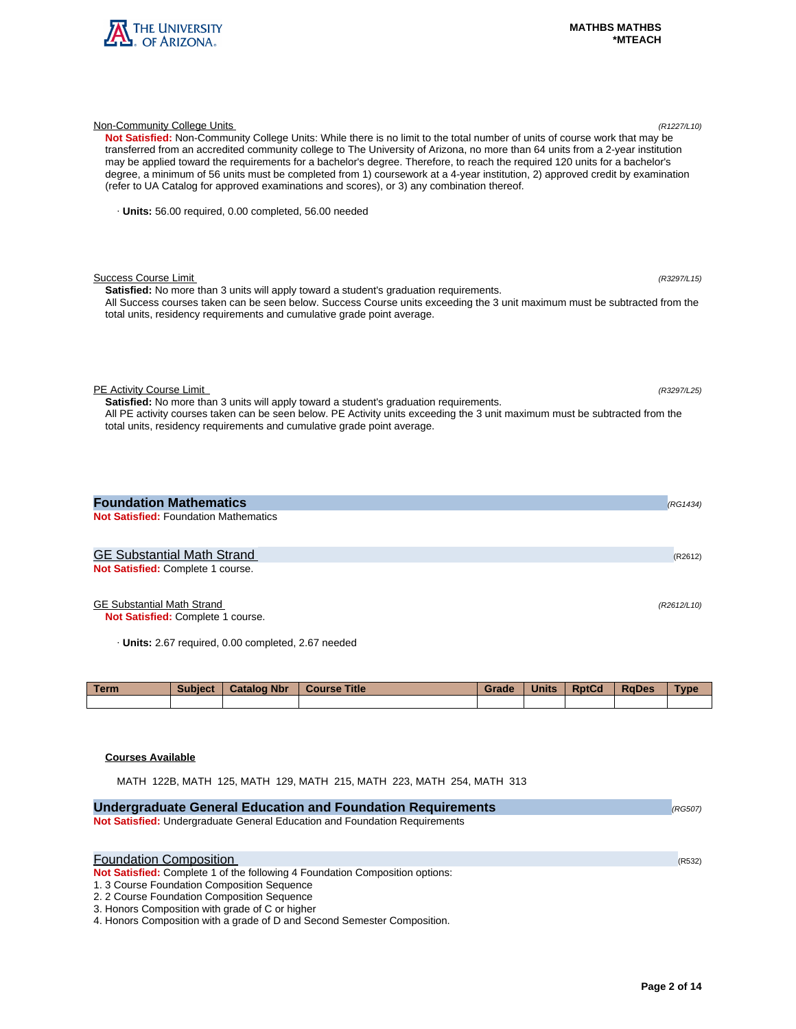

| Not Satisfied: Non-Community College Units: While there is no limit to the total number of units of course work that may be<br>transferred from an accredited community college to The University of Arizona, no more than 64 units from a 2-year institution<br>may be applied toward the requirements for a bachelor's degree. Therefore, to reach the required 120 units for a bachelor's<br>degree, a minimum of 56 units must be completed from 1) coursework at a 4-year institution, 2) approved credit by examination<br>(refer to UA Catalog for approved examinations and scores), or 3) any combination thereof. |             |
|-----------------------------------------------------------------------------------------------------------------------------------------------------------------------------------------------------------------------------------------------------------------------------------------------------------------------------------------------------------------------------------------------------------------------------------------------------------------------------------------------------------------------------------------------------------------------------------------------------------------------------|-------------|
| · Units: 56.00 required, 0.00 completed, 56.00 needed                                                                                                                                                                                                                                                                                                                                                                                                                                                                                                                                                                       |             |
| <b>Success Course Limit</b><br>Satisfied: No more than 3 units will apply toward a student's graduation requirements.<br>All Success courses taken can be seen below. Success Course units exceeding the 3 unit maximum must be subtracted from the<br>total units, residency requirements and cumulative grade point average.                                                                                                                                                                                                                                                                                              | (R3297/L15) |
| PE Activity Course Limit<br>Satisfied: No more than 3 units will apply toward a student's graduation requirements.<br>All PE activity courses taken can be seen below. PE Activity units exceeding the 3 unit maximum must be subtracted from the<br>total units, residency requirements and cumulative grade point average.                                                                                                                                                                                                                                                                                                | (R3297/L25) |
| <b>Foundation Mathematics</b><br><b>Not Satisfied: Foundation Mathematics</b>                                                                                                                                                                                                                                                                                                                                                                                                                                                                                                                                               | (RG1434)    |
| GE Substantial Math Strand<br>Not Satisfied: Complete 1 course.                                                                                                                                                                                                                                                                                                                                                                                                                                                                                                                                                             | (R2612)     |

Non-Community College Units (R1227/L10)

# GE Substantial Math Strand (R2612/L10)

**Not Satisfied:** Complete 1 course.

· **Units:** 2.67 required, 0.00 completed, 2.67 needed

| <b>Term</b> | <b>Subject</b> | <b>Catalog Nbr</b> | <b>Course Title</b> | Grade | <b>Units</b> | <b>RptCd</b> | <b>RaDes</b> | <b>Type</b> |
|-------------|----------------|--------------------|---------------------|-------|--------------|--------------|--------------|-------------|
|             |                |                    |                     |       |              |              |              |             |

# **Courses Available**

MATH 122B, MATH 125, MATH 129, MATH 215, MATH 223, MATH 254, MATH 313

| <b>Undergraduate General Education and Foundation Requirements</b>           | (RG507) |
|------------------------------------------------------------------------------|---------|
| Not Satisfied: Undergraduate General Education and Foundation Requirements   |         |
|                                                                              |         |
| <b>Foundation Composition</b>                                                |         |
|                                                                              | (R532)  |
| Not Satisfied: Complete 1 of the following 4 Foundation Composition options: |         |
| 1. 3 Course Foundation Composition Sequence                                  |         |
| 2. 2 Course Foundation Composition Sequence                                  |         |
| 3. Honors Composition with grade of C or higher                              |         |
| 4. Honors Composition with a grade of D and Second Semester Composition.     |         |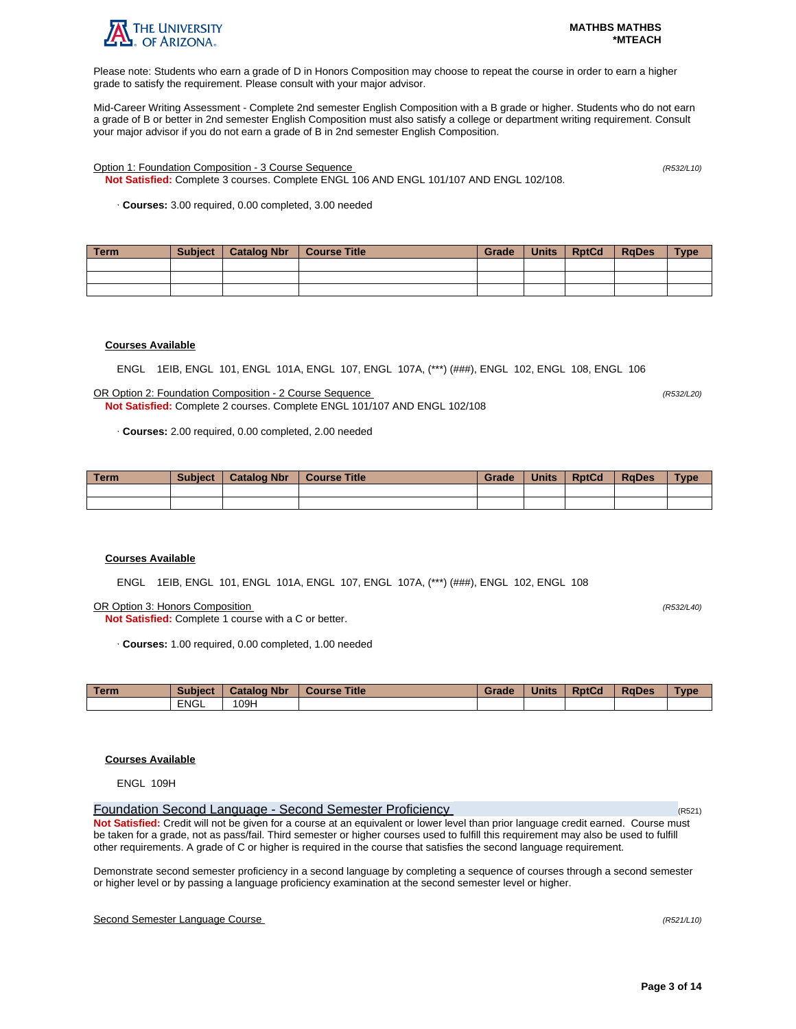

Please note: Students who earn a grade of D in Honors Composition may choose to repeat the course in order to earn a higher grade to satisfy the requirement. Please consult with your major advisor.

Mid-Career Writing Assessment - Complete 2nd semester English Composition with a B grade or higher. Students who do not earn a grade of B or better in 2nd semester English Composition must also satisfy a college or department writing requirement. Consult your major advisor if you do not earn a grade of B in 2nd semester English Composition.

Option 1: Foundation Composition - 3 Course Sequence (R532/L10)

**Not Satisfied:** Complete 3 courses. Complete ENGL 106 AND ENGL 101/107 AND ENGL 102/108.

· **Courses:** 3.00 required, 0.00 completed, 3.00 needed

| Term | <b>Subject</b> | Catalog Nbr | Course Title | Grade | Units | <b>RptCd</b> | <b>RaDes</b> | <b>Type</b> |
|------|----------------|-------------|--------------|-------|-------|--------------|--------------|-------------|
|      |                |             |              |       |       |              |              |             |
|      |                |             |              |       |       |              |              |             |
|      |                |             |              |       |       |              |              |             |

# **Courses Available**

ENGL 1EIB, ENGL 101, ENGL 101A, ENGL 107, ENGL 107A, (\*\*\*) (###), ENGL 102, ENGL 108, ENGL 106

OR Option 2: Foundation Composition - 2 Course Sequence (R532/L20) **Not Satisfied:** Complete 2 courses. Complete ENGL 101/107 AND ENGL 102/108

· **Courses:** 2.00 required, 0.00 completed, 2.00 needed

| <b>Term</b> | <b>Subject</b> | <b>Catalog Nbr</b> | <b>Course Title</b> | Grade | <b>Units</b> | <b>RptCd</b> | <b>RaDes</b> | <b>Type</b> |
|-------------|----------------|--------------------|---------------------|-------|--------------|--------------|--------------|-------------|
|             |                |                    |                     |       |              |              |              |             |
|             |                |                    |                     |       |              |              |              |             |

### **Courses Available**

ENGL 1EIB, ENGL 101, ENGL 101A, ENGL 107, ENGL 107A, (\*\*\*) (###), ENGL 102, ENGL 108

OR Option 3: Honors Composition (R532/L40)

**Not Satisfied:** Complete 1 course with a C or better.

· **Courses:** 1.00 required, 0.00 completed, 1.00 needed

| <b>Term</b> | <b>Subject</b> | <b>Catalog Nbr</b> | <b>Title</b><br>Course | Grade | <b>Units</b> | <b>RptCd</b> | <b>RaDes</b> | Type |
|-------------|----------------|--------------------|------------------------|-------|--------------|--------------|--------------|------|
|             | <b>ENGL</b>    | 09H                |                        |       |              |              |              |      |

# **Courses Available**

ENGL 109H

Foundation Second Language - Second Semester Proficiency (R521) **Not Satisfied:** Credit will not be given for a course at an equivalent or lower level than prior language credit earned. Course must be taken for a grade, not as pass/fail. Third semester or higher courses used to fulfill this requirement may also be used to fulfill other requirements. A grade of C or higher is required in the course that satisfies the second language requirement.

Demonstrate second semester proficiency in a second language by completing a sequence of courses through a second semester or higher level or by passing a language proficiency examination at the second semester level or higher.

# Second Semester Language Course (R521/L10)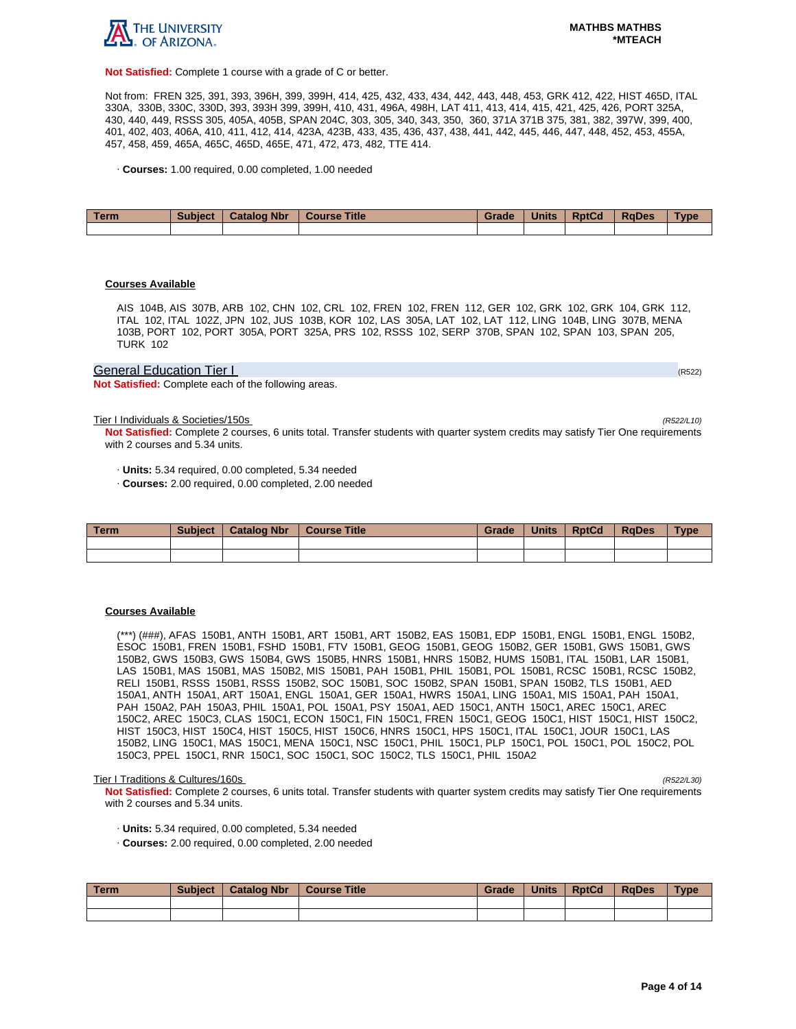

**Not Satisfied:** Complete 1 course with a grade of C or better.

Not from: FREN 325, 391, 393, 396H, 399, 399H, 414, 425, 432, 433, 434, 442, 443, 448, 453, GRK 412, 422, HIST 465D, ITAL 330A, 330B, 330C, 330D, 393, 393H 399, 399H, 410, 431, 496A, 498H, LAT 411, 413, 414, 415, 421, 425, 426, PORT 325A, 430, 440, 449, RSSS 305, 405A, 405B, SPAN 204C, 303, 305, 340, 343, 350, 360, 371A 371B 375, 381, 382, 397W, 399, 400, 401, 402, 403, 406A, 410, 411, 412, 414, 423A, 423B, 433, 435, 436, 437, 438, 441, 442, 445, 446, 447, 448, 452, 453, 455A, 457, 458, 459, 465A, 465C, 465D, 465E, 471, 472, 473, 482, TTE 414.

· **Courses:** 1.00 required, 0.00 completed, 1.00 needed

| Term | <b>Subject</b> | <b>Catalog Nbr</b> | <b>Course Title</b> | Grade | <b>Units</b> | <b>RptCd</b> | <b>RaDes</b> | Type |
|------|----------------|--------------------|---------------------|-------|--------------|--------------|--------------|------|
|      |                |                    |                     |       |              |              |              |      |

#### **Courses Available**

AIS 104B, AIS 307B, ARB 102, CHN 102, CRL 102, FREN 102, FREN 112, GER 102, GRK 102, GRK 104, GRK 112, ITAL 102, ITAL 102Z, JPN 102, JUS 103B, KOR 102, LAS 305A, LAT 102, LAT 112, LING 104B, LING 307B, MENA 103B, PORT 102, PORT 305A, PORT 325A, PRS 102, RSSS 102, SERP 370B, SPAN 102, SPAN 103, SPAN 205, TURK 102

#### General Education Tier I (RS22) And The Contract of the Contract of the Contract of the Contract of the Contract of the Contract of the Contract of the Contract of the Contract of the Contract of the Contract of the Contra

**Not Satisfied:** Complete each of the following areas.

Tier I Individuals & Societies/150s (R522/L10)

**Not Satisfied:** Complete 2 courses, 6 units total. Transfer students with quarter system credits may satisfy Tier One requirements with 2 courses and 5.34 units.

· **Units:** 5.34 required, 0.00 completed, 5.34 needed

· **Courses:** 2.00 required, 0.00 completed, 2.00 needed

| Term | <b>Subject</b> | <b>Catalog Nbr</b> | <b>Course Title</b> | Grade | <b>Units</b> | <b>RptCd</b> | <b>RaDes</b> | Type |
|------|----------------|--------------------|---------------------|-------|--------------|--------------|--------------|------|
|      |                |                    |                     |       |              |              |              |      |
|      |                |                    |                     |       |              |              |              |      |

#### **Courses Available**

(\*\*\*) (###), AFAS 150B1, ANTH 150B1, ART 150B1, ART 150B2, EAS 150B1, EDP 150B1, ENGL 150B1, ENGL 150B2, ESOC 150B1, FREN 150B1, FSHD 150B1, FTV 150B1, GEOG 150B1, GEOG 150B2, GER 150B1, GWS 150B1, GWS 150B2, GWS 150B3, GWS 150B4, GWS 150B5, HNRS 150B1, HNRS 150B2, HUMS 150B1, ITAL 150B1, LAR 150B1, LAS 150B1, MAS 150B1, MAS 150B2, MIS 150B1, PAH 150B1, PHIL 150B1, POL 150B1, RCSC 150B1, RCSC 150B2, RELI 150B1, RSSS 150B1, RSSS 150B2, SOC 150B1, SOC 150B2, SPAN 150B1, SPAN 150B2, TLS 150B1, AED 150A1, ANTH 150A1, ART 150A1, ENGL 150A1, GER 150A1, HWRS 150A1, LING 150A1, MIS 150A1, PAH 150A1, PAH 150A2, PAH 150A3, PHIL 150A1, POL 150A1, PSY 150A1, AED 150C1, ANTH 150C1, AREC 150C1, AREC 150C2, AREC 150C3, CLAS 150C1, ECON 150C1, FIN 150C1, FREN 150C1, GEOG 150C1, HIST 150C1, HIST 150C2, HIST 150C3, HIST 150C4, HIST 150C5, HIST 150C6, HNRS 150C1, HPS 150C1, ITAL 150C1, JOUR 150C1, LAS 150B2, LING 150C1, MAS 150C1, MENA 150C1, NSC 150C1, PHIL 150C1, PLP 150C1, POL 150C1, POL 150C2, POL 150C3, PPEL 150C1, RNR 150C1, SOC 150C1, SOC 150C2, TLS 150C1, PHIL 150A2

#### Tier I Traditions & Cultures/160s (R522/L30)

**Not Satisfied:** Complete 2 courses, 6 units total. Transfer students with quarter system credits may satisfy Tier One requirements with 2 courses and 5.34 units.

- · **Units:** 5.34 required, 0.00 completed, 5.34 needed
- · **Courses:** 2.00 required, 0.00 completed, 2.00 needed

| l Term | <b>Subject</b> | <b>Catalog Nbr</b> | <b>Course Title</b> | Grade | <b>Units</b> | <b>RptCd</b> | RaDes | <b>Type</b> |
|--------|----------------|--------------------|---------------------|-------|--------------|--------------|-------|-------------|
|        |                |                    |                     |       |              |              |       |             |
|        |                |                    |                     |       |              |              |       |             |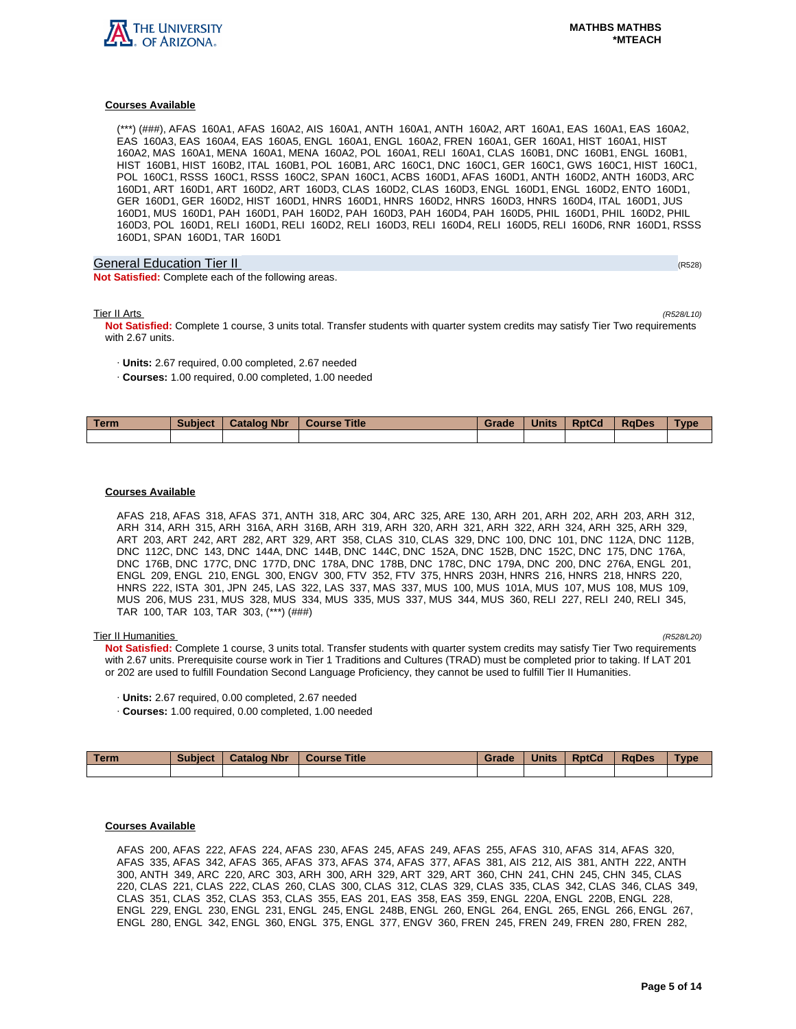

## **Courses Available**

(\*\*\*) (###), AFAS 160A1, AFAS 160A2, AIS 160A1, ANTH 160A1, ANTH 160A2, ART 160A1, EAS 160A1, EAS 160A2, EAS 160A3, EAS 160A4, EAS 160A5, ENGL 160A1, ENGL 160A2, FREN 160A1, GER 160A1, HIST 160A1, HIST 160A2, MAS 160A1, MENA 160A1, MENA 160A2, POL 160A1, RELI 160A1, CLAS 160B1, DNC 160B1, ENGL 160B1, HIST 160B1, HIST 160B2, ITAL 160B1, POL 160B1, ARC 160C1, DNC 160C1, GER 160C1, GWS 160C1, HIST 160C1, POL 160C1, RSSS 160C1, RSSS 160C2, SPAN 160C1, ACBS 160D1, AFAS 160D1, ANTH 160D2, ANTH 160D3, ARC 160D1, ART 160D1, ART 160D2, ART 160D3, CLAS 160D2, CLAS 160D3, ENGL 160D1, ENGL 160D2, ENTO 160D1, GER 160D1, GER 160D2, HIST 160D1, HNRS 160D1, HNRS 160D2, HNRS 160D3, HNRS 160D4, ITAL 160D1, JUS 160D1, MUS 160D1, PAH 160D1, PAH 160D2, PAH 160D3, PAH 160D4, PAH 160D5, PHIL 160D1, PHIL 160D2, PHIL 160D3, POL 160D1, RELI 160D1, RELI 160D2, RELI 160D3, RELI 160D4, RELI 160D5, RELI 160D6, RNR 160D1, RSSS 160D1, SPAN 160D1, TAR 160D1

# General Education Tier II (R528) (R528) (R528) (R528) (R528) (R528) (R528) (R528)

**Not Satisfied:** Complete each of the following areas.

Tier II Arts (R528/L10)

**Not Satisfied:** Complete 1 course, 3 units total. Transfer students with quarter system credits may satisfy Tier Two requirements with 2.67 units.

- · **Units:** 2.67 required, 0.00 completed, 2.67 needed
- · **Courses:** 1.00 required, 0.00 completed, 1.00 needed

| <b>Term</b> | <b>Subject</b> | <b>Catalog Nbr</b> | <b>Title</b><br><b>Course</b> | Grade | <b>Units</b> | <b>RptCd</b> | <b>RaDes</b> | Type |
|-------------|----------------|--------------------|-------------------------------|-------|--------------|--------------|--------------|------|
|             |                |                    |                               |       |              |              |              |      |

#### **Courses Available**

AFAS 218, AFAS 318, AFAS 371, ANTH 318, ARC 304, ARC 325, ARE 130, ARH 201, ARH 202, ARH 203, ARH 312, ARH 314, ARH 315, ARH 316A, ARH 316B, ARH 319, ARH 320, ARH 321, ARH 322, ARH 324, ARH 325, ARH 329, ART 203, ART 242, ART 282, ART 329, ART 358, CLAS 310, CLAS 329, DNC 100, DNC 101, DNC 112A, DNC 112B, DNC 112C, DNC 143, DNC 144A, DNC 144B, DNC 144C, DNC 152A, DNC 152B, DNC 152C, DNC 175, DNC 176A, DNC 176B, DNC 177C, DNC 177D, DNC 178A, DNC 178B, DNC 178C, DNC 179A, DNC 200, DNC 276A, ENGL 201, ENGL 209, ENGL 210, ENGL 300, ENGV 300, FTV 352, FTV 375, HNRS 203H, HNRS 216, HNRS 218, HNRS 220, HNRS 222, ISTA 301, JPN 245, LAS 322, LAS 337, MAS 337, MUS 100, MUS 101A, MUS 107, MUS 108, MUS 109, MUS 206, MUS 231, MUS 328, MUS 334, MUS 335, MUS 337, MUS 344, MUS 360, RELI 227, RELI 240, RELI 345, TAR 100, TAR 103, TAR 303, (\*\*\*) (###)

#### Tier II Humanities (R528/L20)

**Not Satisfied:** Complete 1 course, 3 units total. Transfer students with quarter system credits may satisfy Tier Two requirements with 2.67 units. Prerequisite course work in Tier 1 Traditions and Cultures (TRAD) must be completed prior to taking. If LAT 201 or 202 are used to fulfill Foundation Second Language Proficiency, they cannot be used to fulfill Tier II Humanities.

- · **Units:** 2.67 required, 0.00 completed, 2.67 needed
- · **Courses:** 1.00 required, 0.00 completed, 1.00 needed

| Term | <b>Subject</b> | <b>Catalog Nbr</b> | <b>Course Title</b> | Grade | <b>Units</b> | <b>RptCd</b> | RaDes | <b>Type</b> |
|------|----------------|--------------------|---------------------|-------|--------------|--------------|-------|-------------|
|      |                |                    |                     |       |              |              |       |             |

# **Courses Available**

AFAS 200, AFAS 222, AFAS 224, AFAS 230, AFAS 245, AFAS 249, AFAS 255, AFAS 310, AFAS 314, AFAS 320, AFAS 335, AFAS 342, AFAS 365, AFAS 373, AFAS 374, AFAS 377, AFAS 381, AIS 212, AIS 381, ANTH 222, ANTH 300, ANTH 349, ARC 220, ARC 303, ARH 300, ARH 329, ART 329, ART 360, CHN 241, CHN 245, CHN 345, CLAS 220, CLAS 221, CLAS 222, CLAS 260, CLAS 300, CLAS 312, CLAS 329, CLAS 335, CLAS 342, CLAS 346, CLAS 349, CLAS 351, CLAS 352, CLAS 353, CLAS 355, EAS 201, EAS 358, EAS 359, ENGL 220A, ENGL 220B, ENGL 228, ENGL 229, ENGL 230, ENGL 231, ENGL 245, ENGL 248B, ENGL 260, ENGL 264, ENGL 265, ENGL 266, ENGL 267, ENGL 280, ENGL 342, ENGL 360, ENGL 375, ENGL 377, ENGV 360, FREN 245, FREN 249, FREN 280, FREN 282,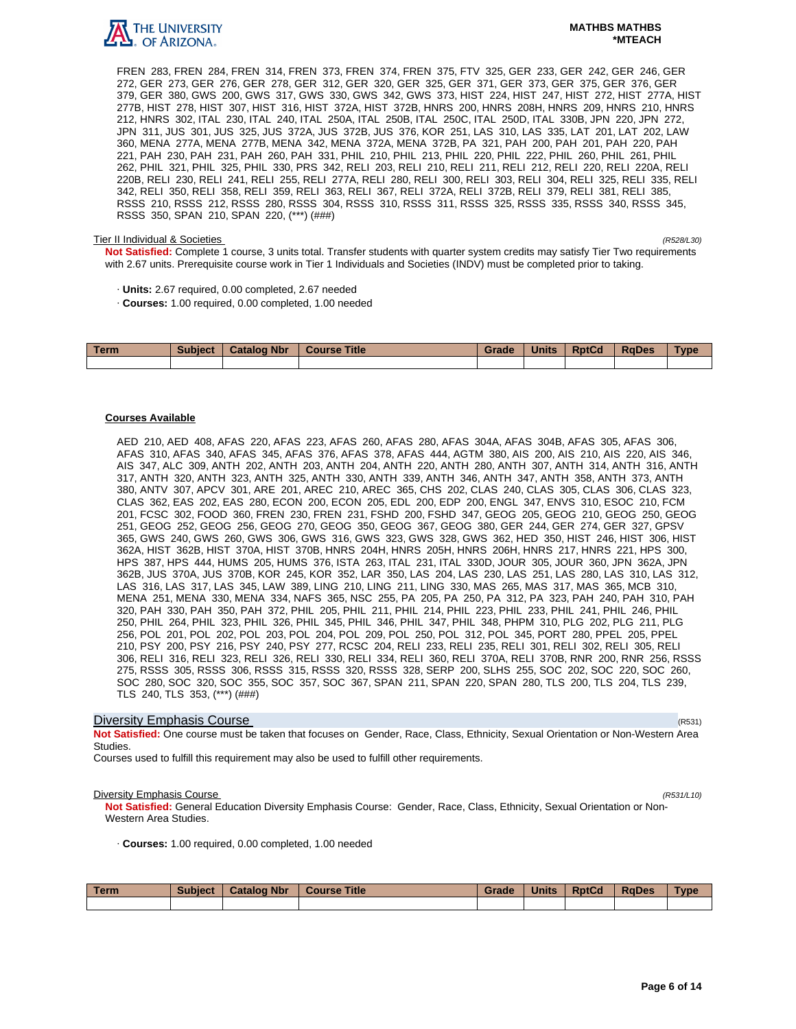

#### **MATHBS MATHBS \*MTEACH**

FREN 283, FREN 284, FREN 314, FREN 373, FREN 374, FREN 375, FTV 325, GER 233, GER 242, GER 246, GER 272, GER 273, GER 276, GER 278, GER 312, GER 320, GER 325, GER 371, GER 373, GER 375, GER 376, GER 379, GER 380, GWS 200, GWS 317, GWS 330, GWS 342, GWS 373, HIST 224, HIST 247, HIST 272, HIST 277A, HIST 277B, HIST 278, HIST 307, HIST 316, HIST 372A, HIST 372B, HNRS 200, HNRS 208H, HNRS 209, HNRS 210, HNRS 212, HNRS 302, ITAL 230, ITAL 240, ITAL 250A, ITAL 250B, ITAL 250C, ITAL 250D, ITAL 330B, JPN 220, JPN 272, JPN 311, JUS 301, JUS 325, JUS 372A, JUS 372B, JUS 376, KOR 251, LAS 310, LAS 335, LAT 201, LAT 202, LAW 360, MENA 277A, MENA 277B, MENA 342, MENA 372A, MENA 372B, PA 321, PAH 200, PAH 201, PAH 220, PAH 221, PAH 230, PAH 231, PAH 260, PAH 331, PHIL 210, PHIL 213, PHIL 220, PHIL 222, PHIL 260, PHIL 261, PHIL 262, PHIL 321, PHIL 325, PHIL 330, PRS 342, RELI 203, RELI 210, RELI 211, RELI 212, RELI 220, RELI 220A, RELI 220B, RELI 230, RELI 241, RELI 255, RELI 277A, RELI 280, RELI 300, RELI 303, RELI 304, RELI 325, RELI 335, RELI 342, RELI 350, RELI 358, RELI 359, RELI 363, RELI 367, RELI 372A, RELI 372B, RELI 379, RELI 381, RELI 385, RSSS 210, RSSS 212, RSSS 280, RSSS 304, RSSS 310, RSSS 311, RSSS 325, RSSS 335, RSSS 340, RSSS 345, RSSS 350, SPAN 210, SPAN 220, (\*\*\*) (###)

#### Tier II Individual & Societies (R528/L30)

**Not Satisfied:** Complete 1 course, 3 units total. Transfer students with quarter system credits may satisfy Tier Two requirements with 2.67 units. Prerequisite course work in Tier 1 Individuals and Societies (INDV) must be completed prior to taking.

- · **Units:** 2.67 required, 0.00 completed, 2.67 needed
- · **Courses:** 1.00 required, 0.00 completed, 1.00 needed

| <b>Term</b> | <b>Subject</b> | <b>Catalog Nbr</b> | <b>Course Title</b> | Grade | <b>Units</b> | <b>RptCd</b> | <b>RaDes</b> | Type |
|-------------|----------------|--------------------|---------------------|-------|--------------|--------------|--------------|------|
|             |                |                    |                     |       |              |              |              |      |

#### **Courses Available**

AED 210, AED 408, AFAS 220, AFAS 223, AFAS 260, AFAS 280, AFAS 304A, AFAS 304B, AFAS 305, AFAS 306, AFAS 310, AFAS 340, AFAS 345, AFAS 376, AFAS 378, AFAS 444, AGTM 380, AIS 200, AIS 210, AIS 220, AIS 346, AIS 347, ALC 309, ANTH 202, ANTH 203, ANTH 204, ANTH 220, ANTH 280, ANTH 307, ANTH 314, ANTH 316, ANTH 317, ANTH 320, ANTH 323, ANTH 325, ANTH 330, ANTH 339, ANTH 346, ANTH 347, ANTH 358, ANTH 373, ANTH 380, ANTV 307, APCV 301, ARE 201, AREC 210, AREC 365, CHS 202, CLAS 240, CLAS 305, CLAS 306, CLAS 323, CLAS 362, EAS 202, EAS 280, ECON 200, ECON 205, EDL 200, EDP 200, ENGL 347, ENVS 310, ESOC 210, FCM 201, FCSC 302, FOOD 360, FREN 230, FREN 231, FSHD 200, FSHD 347, GEOG 205, GEOG 210, GEOG 250, GEOG 251, GEOG 252, GEOG 256, GEOG 270, GEOG 350, GEOG 367, GEOG 380, GER 244, GER 274, GER 327, GPSV 365, GWS 240, GWS 260, GWS 306, GWS 316, GWS 323, GWS 328, GWS 362, HED 350, HIST 246, HIST 306, HIST 362A, HIST 362B, HIST 370A, HIST 370B, HNRS 204H, HNRS 205H, HNRS 206H, HNRS 217, HNRS 221, HPS 300, HPS 387, HPS 444, HUMS 205, HUMS 376, ISTA 263, ITAL 231, ITAL 330D, JOUR 305, JOUR 360, JPN 362A, JPN 362B, JUS 370A, JUS 370B, KOR 245, KOR 352, LAR 350, LAS 204, LAS 230, LAS 251, LAS 280, LAS 310, LAS 312, LAS 316, LAS 317, LAS 345, LAW 389, LING 210, LING 211, LING 330, MAS 265, MAS 317, MAS 365, MCB 310, MENA 251, MENA 330, MENA 334, NAFS 365, NSC 255, PA 205, PA 250, PA 312, PA 323, PAH 240, PAH 310, PAH 320, PAH 330, PAH 350, PAH 372, PHIL 205, PHIL 211, PHIL 214, PHIL 223, PHIL 233, PHIL 241, PHIL 246, PHIL 250, PHIL 264, PHIL 323, PHIL 326, PHIL 345, PHIL 346, PHIL 347, PHIL 348, PHPM 310, PLG 202, PLG 211, PLG 256, POL 201, POL 202, POL 203, POL 204, POL 209, POL 250, POL 312, POL 345, PORT 280, PPEL 205, PPEL 210, PSY 200, PSY 216, PSY 240, PSY 277, RCSC 204, RELI 233, RELI 235, RELI 301, RELI 302, RELI 305, RELI 306, RELI 316, RELI 323, RELI 326, RELI 330, RELI 334, RELI 360, RELI 370A, RELI 370B, RNR 200, RNR 256, RSSS 275, RSSS 305, RSSS 306, RSSS 315, RSSS 320, RSSS 328, SERP 200, SLHS 255, SOC 202, SOC 220, SOC 260, SOC 280, SOC 320, SOC 355, SOC 357, SOC 367, SPAN 211, SPAN 220, SPAN 280, TLS 200, TLS 204, TLS 239, TLS 240, TLS 353, (\*\*\*) (###)

### **Diversity Emphasis Course** (R531) **Diversity Emphasis Course**

**Not Satisfied:** One course must be taken that focuses on Gender, Race, Class, Ethnicity, Sexual Orientation or Non-Western Area Studies.

Courses used to fulfill this requirement may also be used to fulfill other requirements.

#### **Diversity Emphasis Course** (R531/L10)

**Not Satisfied:** General Education Diversity Emphasis Course: Gender, Race, Class, Ethnicity, Sexual Orientation or Non-Western Area Studies.

· **Courses:** 1.00 required, 0.00 completed, 1.00 needed

| Term | <b>Subject</b> | Catalog Nbr | <b>Course Title</b> | Grade | <b>Units</b> | <b>RptCd</b> | <b>RaDes</b> | <b>Type</b> |
|------|----------------|-------------|---------------------|-------|--------------|--------------|--------------|-------------|
|      |                |             |                     |       |              |              |              |             |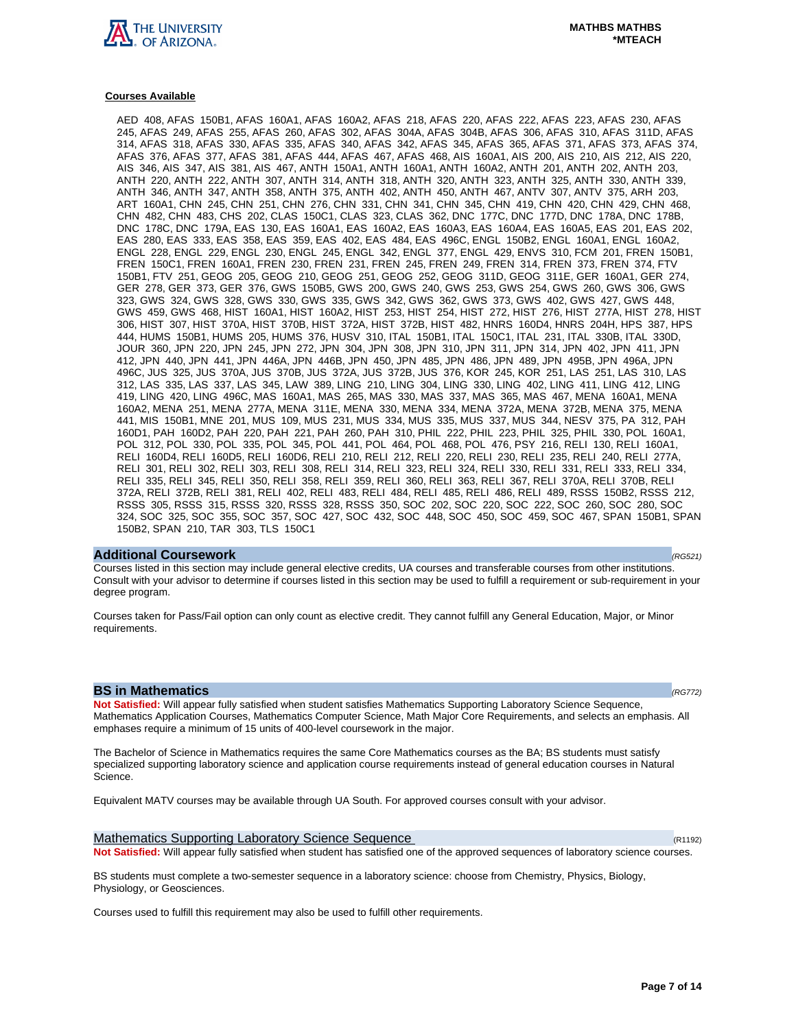

#### **Courses Available**

AED 408, AFAS 150B1, AFAS 160A1, AFAS 160A2, AFAS 218, AFAS 220, AFAS 222, AFAS 223, AFAS 230, AFAS 245, AFAS 249, AFAS 255, AFAS 260, AFAS 302, AFAS 304A, AFAS 304B, AFAS 306, AFAS 310, AFAS 311D, AFAS 314, AFAS 318, AFAS 330, AFAS 335, AFAS 340, AFAS 342, AFAS 345, AFAS 365, AFAS 371, AFAS 373, AFAS 374, AFAS 376, AFAS 377, AFAS 381, AFAS 444, AFAS 467, AFAS 468, AIS 160A1, AIS 200, AIS 210, AIS 212, AIS 220, AIS 346, AIS 347, AIS 381, AIS 467, ANTH 150A1, ANTH 160A1, ANTH 160A2, ANTH 201, ANTH 202, ANTH 203, ANTH 220, ANTH 222, ANTH 307, ANTH 314, ANTH 318, ANTH 320, ANTH 323, ANTH 325, ANTH 330, ANTH 339, ANTH 346, ANTH 347, ANTH 358, ANTH 375, ANTH 402, ANTH 450, ANTH 467, ANTV 307, ANTV 375, ARH 203, ART 160A1, CHN 245, CHN 251, CHN 276, CHN 331, CHN 341, CHN 345, CHN 419, CHN 420, CHN 429, CHN 468, CHN 482, CHN 483, CHS 202, CLAS 150C1, CLAS 323, CLAS 362, DNC 177C, DNC 177D, DNC 178A, DNC 178B, DNC 178C, DNC 179A, EAS 130, EAS 160A1, EAS 160A2, EAS 160A3, EAS 160A4, EAS 160A5, EAS 201, EAS 202, EAS 280, EAS 333, EAS 358, EAS 359, EAS 402, EAS 484, EAS 496C, ENGL 150B2, ENGL 160A1, ENGL 160A2, ENGL 228, ENGL 229, ENGL 230, ENGL 245, ENGL 342, ENGL 377, ENGL 429, ENVS 310, FCM 201, FREN 150B1, FREN 150C1, FREN 160A1, FREN 230, FREN 231, FREN 245, FREN 249, FREN 314, FREN 373, FREN 374, FTV 150B1, FTV 251, GEOG 205, GEOG 210, GEOG 251, GEOG 252, GEOG 311D, GEOG 311E, GER 160A1, GER 274, GER 278, GER 373, GER 376, GWS 150B5, GWS 200, GWS 240, GWS 253, GWS 254, GWS 260, GWS 306, GWS 323, GWS 324, GWS 328, GWS 330, GWS 335, GWS 342, GWS 362, GWS 373, GWS 402, GWS 427, GWS 448, GWS 459, GWS 468, HIST 160A1, HIST 160A2, HIST 253, HIST 254, HIST 272, HIST 276, HIST 277A, HIST 278, HIST 306, HIST 307, HIST 370A, HIST 370B, HIST 372A, HIST 372B, HIST 482, HNRS 160D4, HNRS 204H, HPS 387, HPS 444, HUMS 150B1, HUMS 205, HUMS 376, HUSV 310, ITAL 150B1, ITAL 150C1, ITAL 231, ITAL 330B, ITAL 330D, JOUR 360, JPN 220, JPN 245, JPN 272, JPN 304, JPN 308, JPN 310, JPN 311, JPN 314, JPN 402, JPN 411, JPN 412, JPN 440, JPN 441, JPN 446A, JPN 446B, JPN 450, JPN 485, JPN 486, JPN 489, JPN 495B, JPN 496A, JPN 496C, JUS 325, JUS 370A, JUS 370B, JUS 372A, JUS 372B, JUS 376, KOR 245, KOR 251, LAS 251, LAS 310, LAS 312, LAS 335, LAS 337, LAS 345, LAW 389, LING 210, LING 304, LING 330, LING 402, LING 411, LING 412, LING 419, LING 420, LING 496C, MAS 160A1, MAS 265, MAS 330, MAS 337, MAS 365, MAS 467, MENA 160A1, MENA 160A2, MENA 251, MENA 277A, MENA 311E, MENA 330, MENA 334, MENA 372A, MENA 372B, MENA 375, MENA 441, MIS 150B1, MNE 201, MUS 109, MUS 231, MUS 334, MUS 335, MUS 337, MUS 344, NESV 375, PA 312, PAH 160D1, PAH 160D2, PAH 220, PAH 221, PAH 260, PAH 310, PHIL 222, PHIL 223, PHIL 325, PHIL 330, POL 160A1, POL 312, POL 330, POL 335, POL 345, POL 441, POL 464, POL 468, POL 476, PSY 216, RELI 130, RELI 160A1, RELI 160D4, RELI 160D5, RELI 160D6, RELI 210, RELI 212, RELI 220, RELI 230, RELI 235, RELI 240, RELI 277A, RELI 301, RELI 302, RELI 303, RELI 308, RELI 314, RELI 323, RELI 324, RELI 330, RELI 331, RELI 333, RELI 334, RELI 335, RELI 345, RELI 350, RELI 358, RELI 359, RELI 360, RELI 363, RELI 367, RELI 370A, RELI 370B, RELI 372A, RELI 372B, RELI 381, RELI 402, RELI 483, RELI 484, RELI 485, RELI 486, RELI 489, RSSS 150B2, RSSS 212, RSSS 305, RSSS 315, RSSS 320, RSSS 328, RSSS 350, SOC 202, SOC 220, SOC 222, SOC 260, SOC 280, SOC 324, SOC 325, SOC 355, SOC 357, SOC 427, SOC 432, SOC 448, SOC 450, SOC 459, SOC 467, SPAN 150B1, SPAN 150B2, SPAN 210, TAR 303, TLS 150C1

#### **Additional Coursework** (RG521)

Courses listed in this section may include general elective credits, UA courses and transferable courses from other institutions. Consult with your advisor to determine if courses listed in this section may be used to fulfill a requirement or sub-requirement in your degree program.

Courses taken for Pass/Fail option can only count as elective credit. They cannot fulfill any General Education, Major, or Minor requirements.

#### **BS in Mathematics (RG772)**

**Not Satisfied:** Will appear fully satisfied when student satisfies Mathematics Supporting Laboratory Science Sequence, Mathematics Application Courses, Mathematics Computer Science, Math Major Core Requirements, and selects an emphasis. All emphases require a minimum of 15 units of 400-level coursework in the major.

The Bachelor of Science in Mathematics requires the same Core Mathematics courses as the BA; BS students must satisfy specialized supporting laboratory science and application course requirements instead of general education courses in Natural Science.

Equivalent MATV courses may be available through UA South. For approved courses consult with your advisor.

Mathematics Supporting Laboratory Science Sequence (R1192)  $(R1192)$ **Not Satisfied:** Will appear fully satisfied when student has satisfied one of the approved sequences of laboratory science courses.

BS students must complete a two-semester sequence in a laboratory science: choose from Chemistry, Physics, Biology, Physiology, or Geosciences.

Courses used to fulfill this requirement may also be used to fulfill other requirements.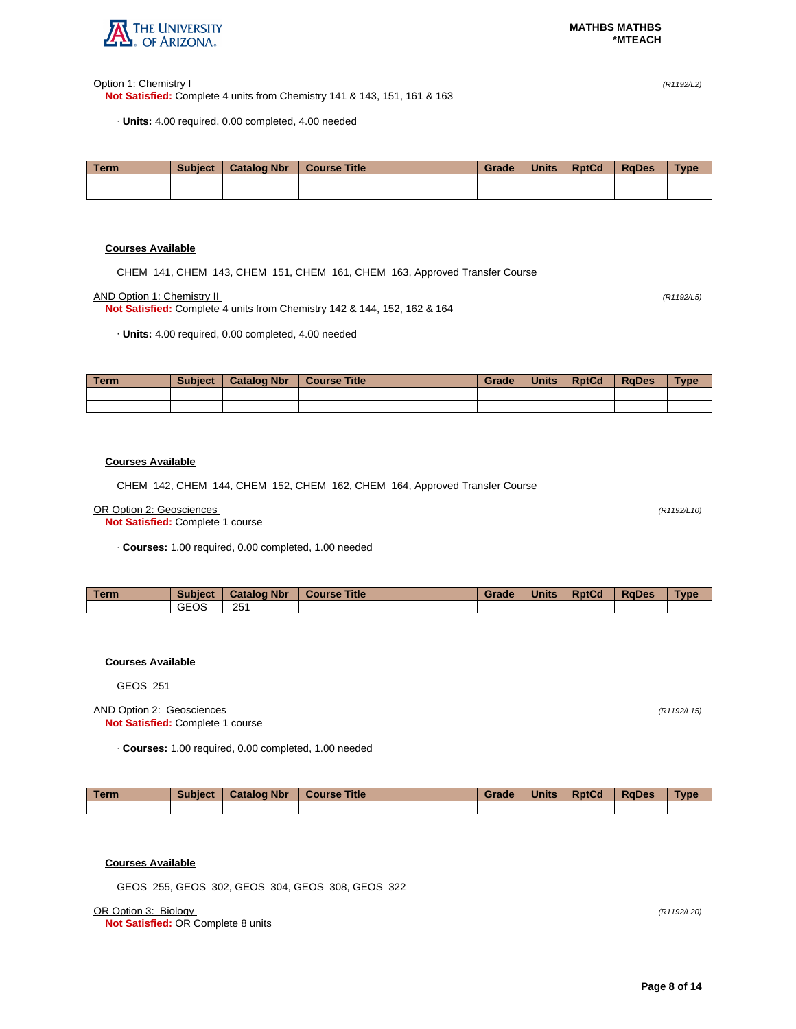

Option 1: Chemistry I (R1192/L2)

**Not Satisfied:** Complete 4 units from Chemistry 141 & 143, 151, 161 & 163

· **Units:** 4.00 required, 0.00 completed, 4.00 needed

| Term. | <b>Subject</b> | <b>Catalog Nbr</b> | <b>Course Title</b> | Grade | <b>Units</b> | <b>RptCd</b> | <b>RaDes</b> | <b>Type</b> |
|-------|----------------|--------------------|---------------------|-------|--------------|--------------|--------------|-------------|
|       |                |                    |                     |       |              |              |              |             |
|       |                |                    |                     |       |              |              |              |             |

# **Courses Available**

CHEM 141, CHEM 143, CHEM 151, CHEM 161, CHEM 163, Approved Transfer Course

AND Option 1: Chemistry II (R1192/L5)

**Not Satisfied:** Complete 4 units from Chemistry 142 & 144, 152, 162 & 164

· **Units:** 4.00 required, 0.00 completed, 4.00 needed

| <b>Term</b> | <b>Subject</b> | <b>Catalog Nbr</b> | <b>Course Title</b> | Grade | <b>Units</b> | <b>RptCd</b> | RaDes | <b>Type</b> |
|-------------|----------------|--------------------|---------------------|-------|--------------|--------------|-------|-------------|
|             |                |                    |                     |       |              |              |       |             |
|             |                |                    |                     |       |              |              |       |             |

#### **Courses Available**

CHEM 142, CHEM 144, CHEM 152, CHEM 162, CHEM 164, Approved Transfer Course

#### OR Option 2: Geosciences (R1192/L10)

**Not Satisfied:** Complete 1 course

· **Courses:** 1.00 required, 0.00 completed, 1.00 needed

| <b>Term</b> | <b>Subject</b> | <b>Catalog Nbr</b> | <b>Course Title</b> | Grade | <b>Units</b> | <b>RptCd</b> | <b>RaDes</b> | <b>Type</b> |
|-------------|----------------|--------------------|---------------------|-------|--------------|--------------|--------------|-------------|
|             | <b>GEOS</b>    | 251                |                     |       |              |              |              |             |

# **Courses Available**

GEOS 251

#### AND Option 2: Geosciences (R1192/L15) **Not Satisfied:** Complete 1 course

· **Courses:** 1.00 required, 0.00 completed, 1.00 needed

| Term | <b>Subject</b> | <b>Catalog Nbr</b> | <b>Course Title</b> | Grade | <b>Units</b> | <b>RptCd</b> | <b>RaDes</b> | Type |
|------|----------------|--------------------|---------------------|-------|--------------|--------------|--------------|------|
|      |                |                    |                     |       |              |              |              |      |

# **Courses Available**

GEOS 255, GEOS 302, GEOS 304, GEOS 308, GEOS 322

OR Option 3: Biology (R1192/L20)

**Not Satisfied:** OR Complete 8 units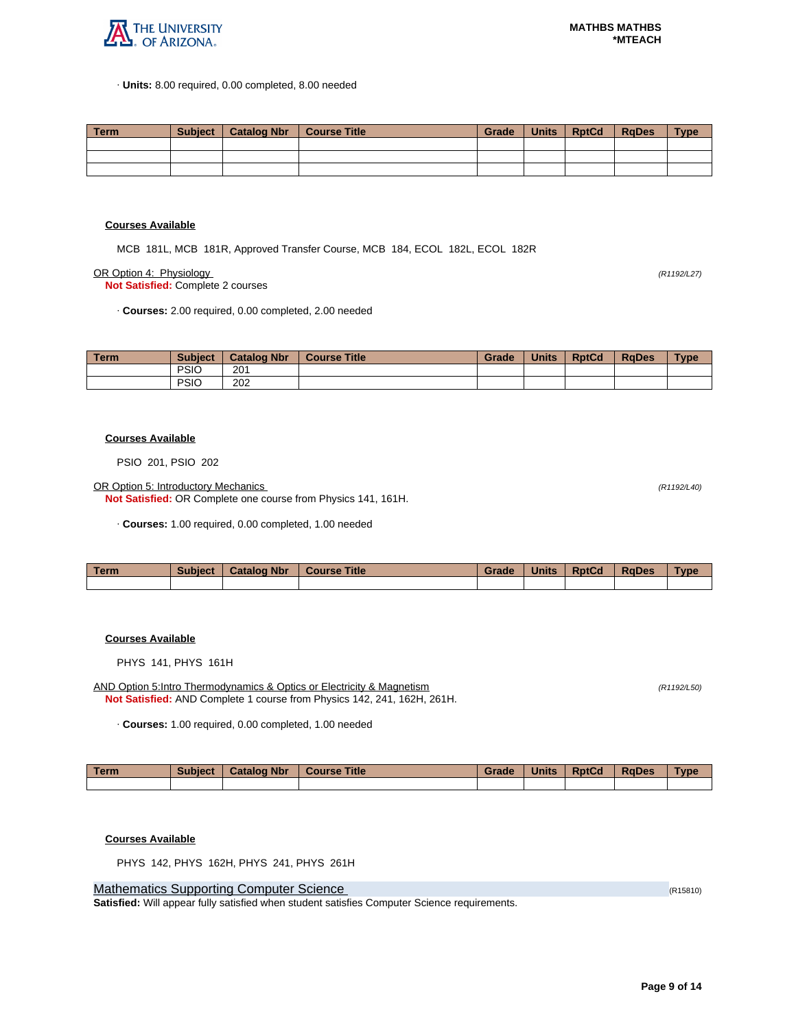

· **Units:** 8.00 required, 0.00 completed, 8.00 needed

| Term | Subject | <sup>1</sup> Catalog Nbr | Course Title | Grade | Units | <b>RptCd</b> | RaDes | <b>Type</b> |
|------|---------|--------------------------|--------------|-------|-------|--------------|-------|-------------|
|      |         |                          |              |       |       |              |       |             |
|      |         |                          |              |       |       |              |       |             |
|      |         |                          |              |       |       |              |       |             |

#### **Courses Available**

MCB 181L, MCB 181R, Approved Transfer Course, MCB 184, ECOL 182L, ECOL 182R

OR Option 4: Physiology (R1192/L27)

**Not Satisfied:** Complete 2 courses

· **Courses:** 2.00 required, 0.00 completed, 2.00 needed

| <b>Term</b> | <b>Subject</b> | <b>Catalog Nbr</b> | <b>Course Title</b> | Grade | <b>Units</b> | <b>RptCd</b> | <b>RaDes</b> | <b>Type</b> |
|-------------|----------------|--------------------|---------------------|-------|--------------|--------------|--------------|-------------|
|             | <b>PSIO</b>    | 201                |                     |       |              |              |              |             |
|             | <b>PSIC</b>    | 202                |                     |       |              |              |              |             |

#### **Courses Available**

PSIO 201, PSIO 202

OR Option 5: Introductory Mechanics (R1192/L40)

**Not Satisfied:** OR Complete one course from Physics 141, 161H.

· **Courses:** 1.00 required, 0.00 completed, 1.00 needed

| <b>Term</b> | <b>Subject</b> | <b>Catalog Nbr</b> | <b>Course Title</b> | Grade | <b>Units</b> | <b>RptCd</b> | <b>RaDes</b> | Type |
|-------------|----------------|--------------------|---------------------|-------|--------------|--------------|--------------|------|
|             |                |                    |                     |       |              |              |              |      |

# **Courses Available**

PHYS 141, PHYS 161H

AND Option 5:Intro Thermodynamics & Optics or Electricity & Magnetism (R1192/L50) (R1192/L50) **Not Satisfied:** AND Complete 1 course from Physics 142, 241, 162H, 261H.

· **Courses:** 1.00 required, 0.00 completed, 1.00 needed

| l Term | <b>Subject</b> | <b>Catalog Nbr</b> | <b>Course Title</b> | Grade | <b>Units</b> | <b>RptCd</b> | RaDes | <b>Type</b> |
|--------|----------------|--------------------|---------------------|-------|--------------|--------------|-------|-------------|
|        |                |                    |                     |       |              |              |       |             |

#### **Courses Available**

PHYS 142, PHYS 162H, PHYS 241, PHYS 261H

Mathematics Supporting Computer Science (R15810) and R15810) and R15810 (R15810)

**Satisfied:** Will appear fully satisfied when student satisfies Computer Science requirements.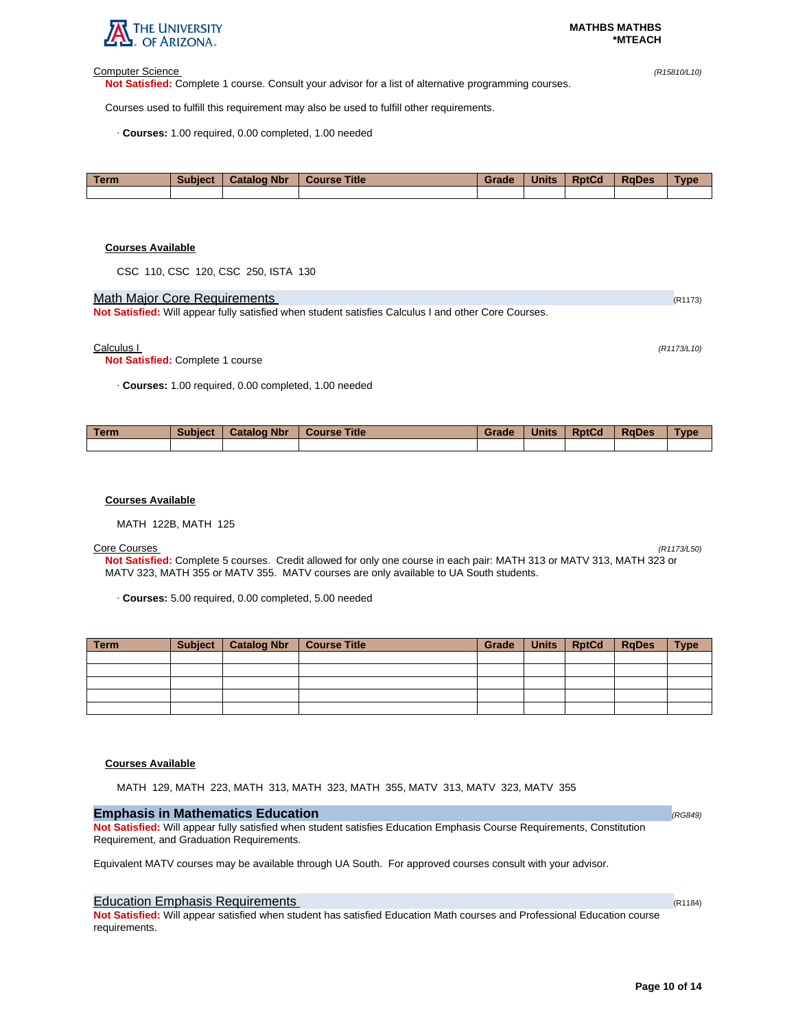

#### Computer Science (R15810/L10)

**Not Satisfied:** Complete 1 course. Consult your advisor for a list of alternative programming courses.

Courses used to fulfill this requirement may also be used to fulfill other requirements.

· **Courses:** 1.00 required, 0.00 completed, 1.00 needed

| Term | <b>Subject</b> | <b>Catalog Nbr</b> | <b>Course Title</b> | Grade | <b>Units</b> | <b>RptCd</b> | <b>RaDes</b> | Type |
|------|----------------|--------------------|---------------------|-------|--------------|--------------|--------------|------|
|      |                |                    |                     |       |              |              |              |      |

#### **Courses Available**

CSC 110, CSC 120, CSC 250, ISTA 130

# Math Major Core Requirements (R1173)

**Not Satisfied:** Will appear fully satisfied when student satisfies Calculus I and other Core Courses.

#### Calculus I (R1173/L10)

**Not Satisfied:** Complete 1 course

· **Courses:** 1.00 required, 0.00 completed, 1.00 needed

| Term | <b>Subject</b> | <b>Catalog Nbr</b> | <b>Course Title</b> | Grade | <b>Units</b> | <b>RptCd</b> | <b>RaDes</b> | <b>Type</b> |
|------|----------------|--------------------|---------------------|-------|--------------|--------------|--------------|-------------|
|      |                |                    |                     |       |              |              |              |             |

#### **Courses Available**

MATH 122B, MATH 125

Core Courses (R1173/L50) **Not Satisfied:** Complete 5 courses. Credit allowed for only one course in each pair: MATH 313 or MATV 313, MATH 323 or MATV 323, MATH 355 or MATV 355. MATV courses are only available to UA South students.

· **Courses:** 5.00 required, 0.00 completed, 5.00 needed

| Term | <b>Subject</b> | Catalog Nbr   Course Title | Grade | Units   RptCd | <b>RgDes</b> | <b>Type</b> |
|------|----------------|----------------------------|-------|---------------|--------------|-------------|
|      |                |                            |       |               |              |             |
|      |                |                            |       |               |              |             |
|      |                |                            |       |               |              |             |
|      |                |                            |       |               |              |             |
|      |                |                            |       |               |              |             |

# **Courses Available**

MATH 129, MATH 223, MATH 313, MATH 323, MATH 355, MATV 313, MATV 323, MATV 355

# **Emphasis in Mathematics Education** *(RG849)* **<b>Emphasis in Mathematics Education (RG849)**

**Not Satisfied:** Will appear fully satisfied when student satisfies Education Emphasis Course Requirements, Constitution Requirement, and Graduation Requirements.

Equivalent MATV courses may be available through UA South. For approved courses consult with your advisor.

# Education Emphasis Requirements (R1184) **Example 2018** (R1184)

**Not Satisfied:** Will appear satisfied when student has satisfied Education Math courses and Professional Education course requirements.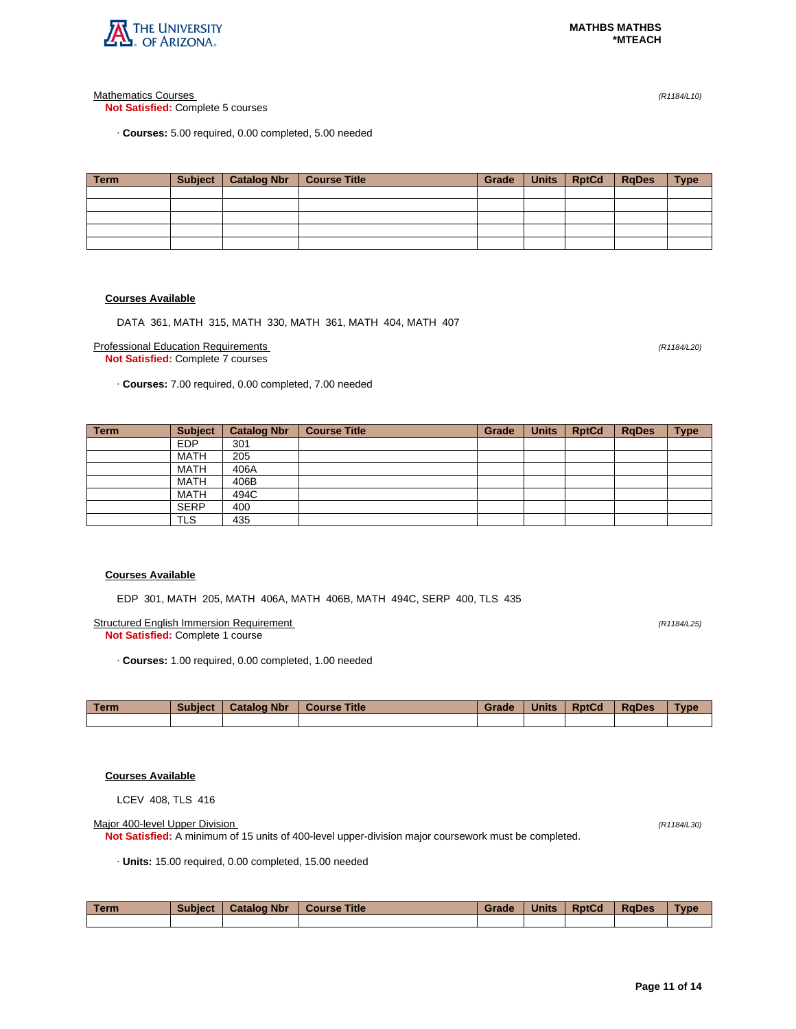

Mathematics Courses (R1184/L10)

**Not Satisfied:** Complete 5 courses

· **Courses:** 5.00 required, 0.00 completed, 5.00 needed

| <b>Term</b> | Subject   Catalog Nbr | Course Title | Grade | Units   RptCd | <b>RgDes</b> | <b>Type</b> |
|-------------|-----------------------|--------------|-------|---------------|--------------|-------------|
|             |                       |              |       |               |              |             |
|             |                       |              |       |               |              |             |
|             |                       |              |       |               |              |             |
|             |                       |              |       |               |              |             |
|             |                       |              |       |               |              |             |

# **Courses Available**

DATA 361, MATH 315, MATH 330, MATH 361, MATH 404, MATH 407

Professional Education Requirements (R1184/L20) **Not Satisfied:** Complete 7 courses

· **Courses:** 7.00 required, 0.00 completed, 7.00 needed

| Term | <b>Subject</b> | <b>Catalog Nbr</b> | <b>Course Title</b> | Grade | <b>Units</b> | <b>RptCd</b> | <b>RgDes</b> | <b>Type</b> |
|------|----------------|--------------------|---------------------|-------|--------------|--------------|--------------|-------------|
|      | <b>EDP</b>     | 301                |                     |       |              |              |              |             |
|      | <b>MATH</b>    | 205                |                     |       |              |              |              |             |
|      | <b>MATH</b>    | 406A               |                     |       |              |              |              |             |
|      | <b>MATH</b>    | 406B               |                     |       |              |              |              |             |
|      | <b>MATH</b>    | 494C               |                     |       |              |              |              |             |
|      | <b>SERP</b>    | 400                |                     |       |              |              |              |             |
|      | <b>TLS</b>     | 435                |                     |       |              |              |              |             |

### **Courses Available**

EDP 301, MATH 205, MATH 406A, MATH 406B, MATH 494C, SERP 400, TLS 435

Structured English Immersion Requirement (R1184/L25) **Not Satisfied:** Complete 1 course

· **Courses:** 1.00 required, 0.00 completed, 1.00 needed

| <b>Term</b> | <b>Subject</b> | <b>Catalog Nbr</b> | <b>Title</b><br><b>Course</b> | Grade | <b>Units</b> | <b>RptCd</b> | <b>RaDes</b> | <b>Type</b> |
|-------------|----------------|--------------------|-------------------------------|-------|--------------|--------------|--------------|-------------|
|             |                |                    |                               |       |              |              |              |             |

# **Courses Available**

LCEV 408, TLS 416

Major 400-level Upper Division (R1184/L30)

**Not Satisfied:** A minimum of 15 units of 400-level upper-division major coursework must be completed.

· **Units:** 15.00 required, 0.00 completed, 15.00 needed

| Term | <b>Subject</b> | <b>Catalog Nbr</b> | <b>Course Title</b> | Grade | <b>Units</b> | <b>RptCd</b> | <b>RaDes</b> | <b>Type</b> |
|------|----------------|--------------------|---------------------|-------|--------------|--------------|--------------|-------------|
|      |                |                    |                     |       |              |              |              |             |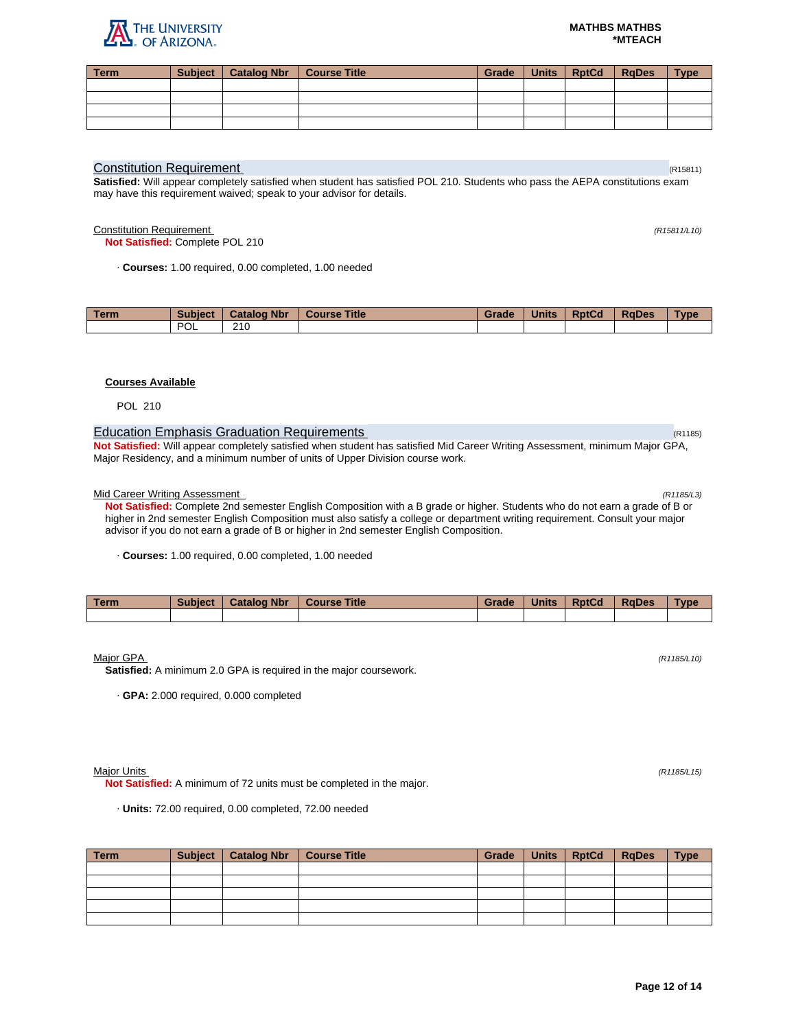

| <b>Term</b> | Subject   Catalog Nbr   Course Title |  | Grade   Units   RotCd   RaDes | <b>Type</b> |
|-------------|--------------------------------------|--|-------------------------------|-------------|
|             |                                      |  |                               |             |
|             |                                      |  |                               |             |
|             |                                      |  |                               |             |
|             |                                      |  |                               |             |

## **Constitution Requirement** (R15811) **Constitution Requirement**

**Satisfied:** Will appear completely satisfied when student has satisfied POL 210. Students who pass the AEPA constitutions exam may have this requirement waived; speak to your advisor for details.

Constitution Requirement (R15811/L10)

**Not Satisfied:** Complete POL 210

· **Courses:** 1.00 required, 0.00 completed, 1.00 needed

| Геrm | <b>Subject</b>    | <b>Nbr</b><br>Catalog | <b>Title</b><br><b>Course</b> | <b>Grade</b> | <b>Units</b> | <b>RptCd</b> | <b>RaDes</b> | <b>vpe</b> |
|------|-------------------|-----------------------|-------------------------------|--------------|--------------|--------------|--------------|------------|
|      | <b>DOI</b><br>'UL | 210                   |                               |              |              |              |              |            |

# **Courses Available**

POL 210

# Education Emphasis Graduation Requirements (R1185) **Education Contract Contract Contract Contract Contract Contract Contract Contract Contract Contract Contract Contract Contract Contract Contract Contract Contract Contrac**

**Not Satisfied:** Will appear completely satisfied when student has satisfied Mid Career Writing Assessment, minimum Major GPA, Major Residency, and a minimum number of units of Upper Division course work.

### Mid Career Writing Assessment (R1185/L3)

**Not Satisfied:** Complete 2nd semester English Composition with a B grade or higher. Students who do not earn a grade of B or higher in 2nd semester English Composition must also satisfy a college or department writing requirement. Consult your major advisor if you do not earn a grade of B or higher in 2nd semester English Composition.

· **Courses:** 1.00 required, 0.00 completed, 1.00 needed

| <b>Term</b> | <b>Subject</b> | <b>Catalog Nbr</b> | <b>Course Title</b> | Grade | <b>Units</b> | <b>RptCd</b> | <b>RaDes</b> | Type |
|-------------|----------------|--------------------|---------------------|-------|--------------|--------------|--------------|------|
|             |                |                    |                     |       |              |              |              |      |

 $M$ ajor GPA (R1185/L10) (R1185/L10)

**Satisfied:** A minimum 2.0 GPA is required in the major coursework.

· **GPA:** 2.000 required, 0.000 completed

Major Units (R1185/L15)

**Not Satisfied:** A minimum of 72 units must be completed in the major.

· **Units:** 72.00 required, 0.00 completed, 72.00 needed

| Term | Subject | Catalog Nbr   Course Title | Grade | Units RptCd | <b>RaDes</b> | <b>Type</b> |
|------|---------|----------------------------|-------|-------------|--------------|-------------|
|      |         |                            |       |             |              |             |
|      |         |                            |       |             |              |             |
|      |         |                            |       |             |              |             |
|      |         |                            |       |             |              |             |
|      |         |                            |       |             |              |             |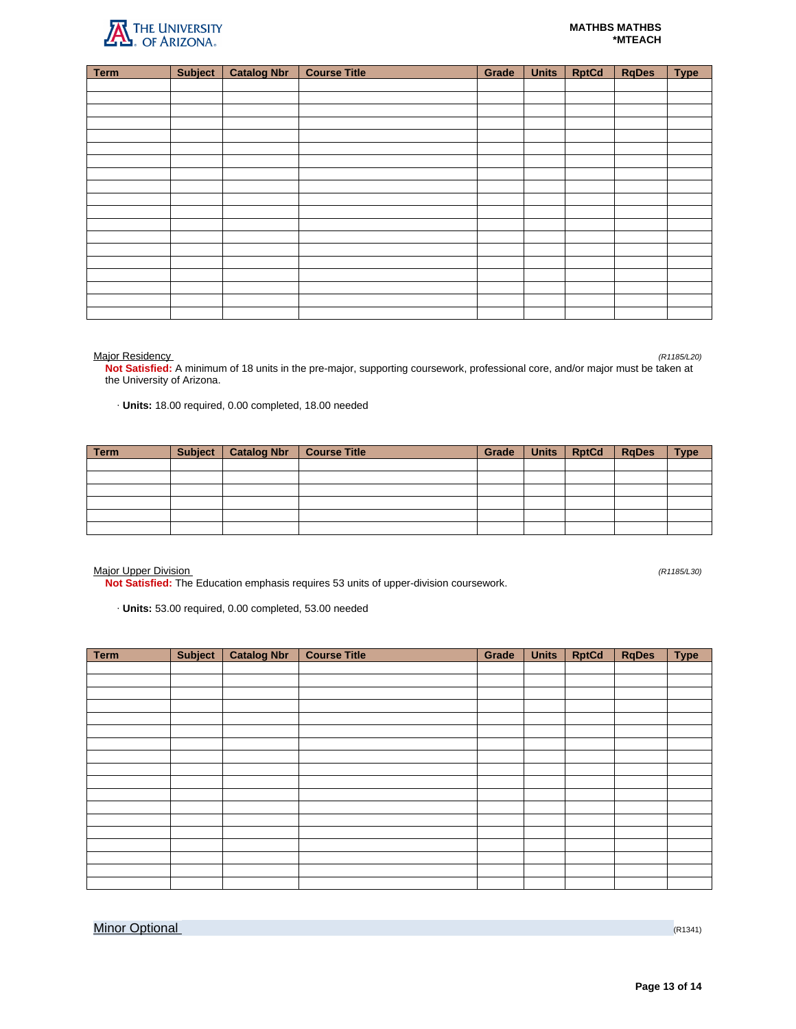

| <b>Term</b> | <b>Subject</b> | <b>Catalog Nbr</b> | <b>Course Title</b> | Grade | <b>Units</b> | <b>RptCd</b> | <b>RqDes</b> | <b>Type</b> |
|-------------|----------------|--------------------|---------------------|-------|--------------|--------------|--------------|-------------|
|             |                |                    |                     |       |              |              |              |             |
|             |                |                    |                     |       |              |              |              |             |
|             |                |                    |                     |       |              |              |              |             |
|             |                |                    |                     |       |              |              |              |             |
|             |                |                    |                     |       |              |              |              |             |
|             |                |                    |                     |       |              |              |              |             |
|             |                |                    |                     |       |              |              |              |             |
|             |                |                    |                     |       |              |              |              |             |
|             |                |                    |                     |       |              |              |              |             |
|             |                |                    |                     |       |              |              |              |             |
|             |                |                    |                     |       |              |              |              |             |
|             |                |                    |                     |       |              |              |              |             |
|             |                |                    |                     |       |              |              |              |             |
|             |                |                    |                     |       |              |              |              |             |
|             |                |                    |                     |       |              |              |              |             |
|             |                |                    |                     |       |              |              |              |             |
|             |                |                    |                     |       |              |              |              |             |
|             |                |                    |                     |       |              |              |              |             |
|             |                |                    |                     |       |              |              |              |             |

Major Residency (R1185/L20)

**Not Satisfied:** A minimum of 18 units in the pre-major, supporting coursework, professional core, and/or major must be taken at the University of Arizona.

· **Units:** 18.00 required, 0.00 completed, 18.00 needed

| Term | <b>Subject</b> | Catalog Nbr   Course Title | Grade | Units   RptCd | <b>RgDes</b> | <b>Type</b> |
|------|----------------|----------------------------|-------|---------------|--------------|-------------|
|      |                |                            |       |               |              |             |
|      |                |                            |       |               |              |             |
|      |                |                            |       |               |              |             |
|      |                |                            |       |               |              |             |
|      |                |                            |       |               |              |             |
|      |                |                            |       |               |              |             |

Major Upper Division (R1185/L30)

**Not Satisfied:** The Education emphasis requires 53 units of upper-division coursework.

· **Units:** 53.00 required, 0.00 completed, 53.00 needed

| Term | <b>Subject</b> | <b>Catalog Nbr</b> | <b>Course Title</b> | Grade | <b>Units</b> | <b>RptCd</b> | <b>RqDes</b> | <b>Type</b> |
|------|----------------|--------------------|---------------------|-------|--------------|--------------|--------------|-------------|
|      |                |                    |                     |       |              |              |              |             |
|      |                |                    |                     |       |              |              |              |             |
|      |                |                    |                     |       |              |              |              |             |
|      |                |                    |                     |       |              |              |              |             |
|      |                |                    |                     |       |              |              |              |             |
|      |                |                    |                     |       |              |              |              |             |
|      |                |                    |                     |       |              |              |              |             |
|      |                |                    |                     |       |              |              |              |             |
|      |                |                    |                     |       |              |              |              |             |
|      |                |                    |                     |       |              |              |              |             |
|      |                |                    |                     |       |              |              |              |             |
|      |                |                    |                     |       |              |              |              |             |
|      |                |                    |                     |       |              |              |              |             |
|      |                |                    |                     |       |              |              |              |             |
|      |                |                    |                     |       |              |              |              |             |
|      |                |                    |                     |       |              |              |              |             |
|      |                |                    |                     |       |              |              |              |             |
|      |                |                    |                     |       |              |              |              |             |

**Minor Optional** (R1341)